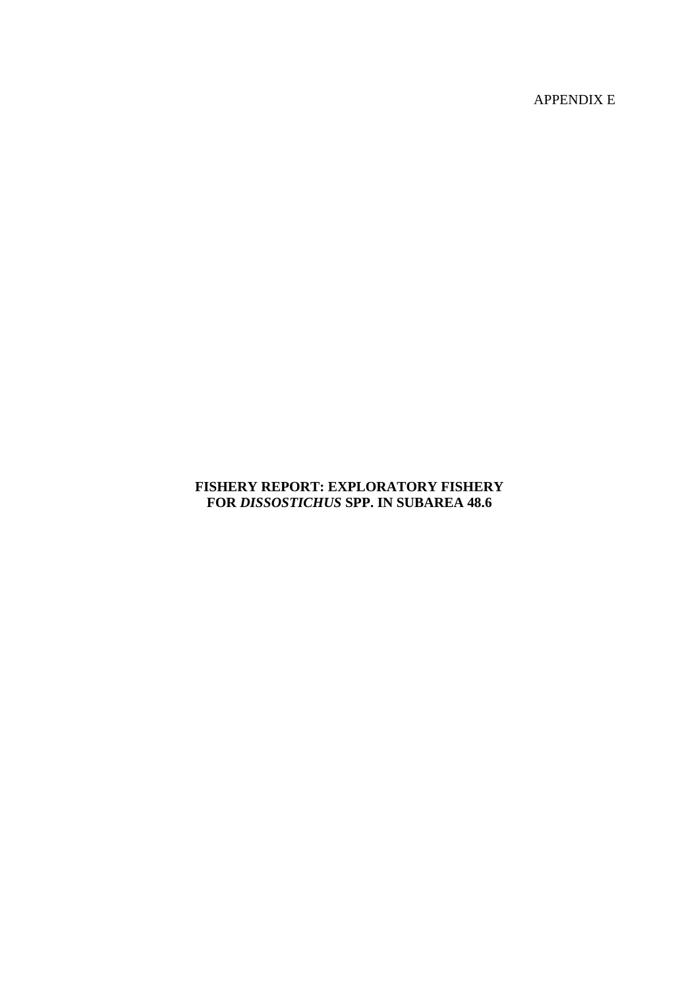APPENDIX E

# **FISHERY REPORT: EXPLORATORY FISHERY FOR** *DISSOSTICHUS* **SPP. IN SUBAREA 48.6**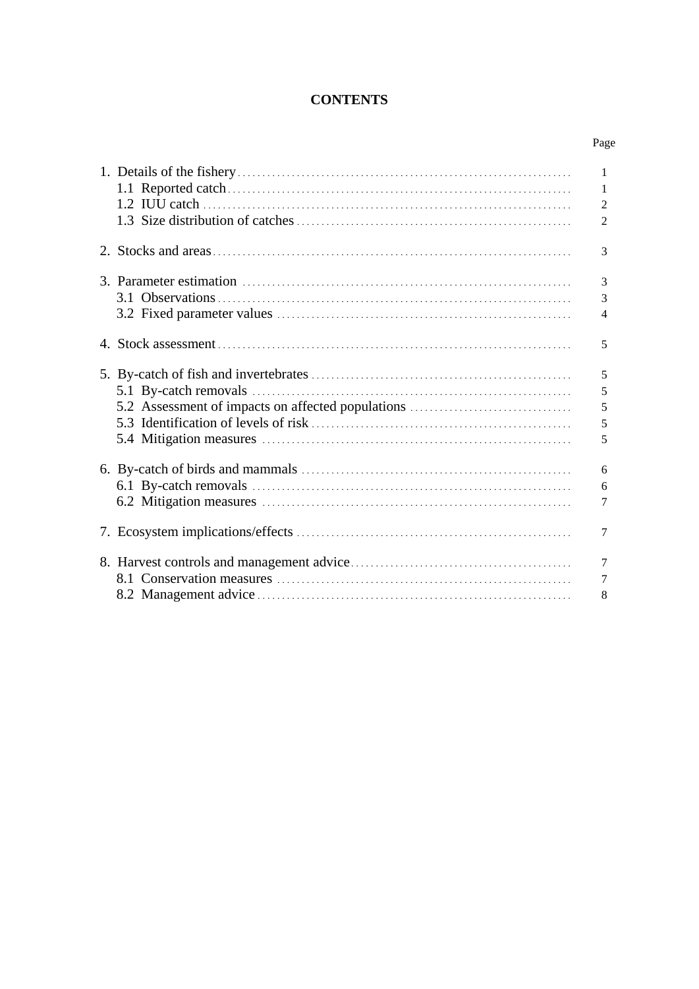# **CONTENTS**

| ٦ |
|---|
|---|

|                                                   | 1              |
|---------------------------------------------------|----------------|
|                                                   | 1              |
|                                                   | $\overline{2}$ |
|                                                   | 2              |
|                                                   | 3              |
|                                                   | 3              |
|                                                   | 3              |
|                                                   | $\overline{4}$ |
|                                                   | 5              |
|                                                   | 5              |
|                                                   | 5              |
| 5.2 Assessment of impacts on affected populations | 5              |
|                                                   | 5              |
|                                                   |                |
|                                                   | 5              |
|                                                   | 6              |
|                                                   | 6              |
|                                                   | 7              |
|                                                   | $\tau$         |
|                                                   | $\overline{7}$ |
|                                                   | 7              |
|                                                   |                |
|                                                   | 8              |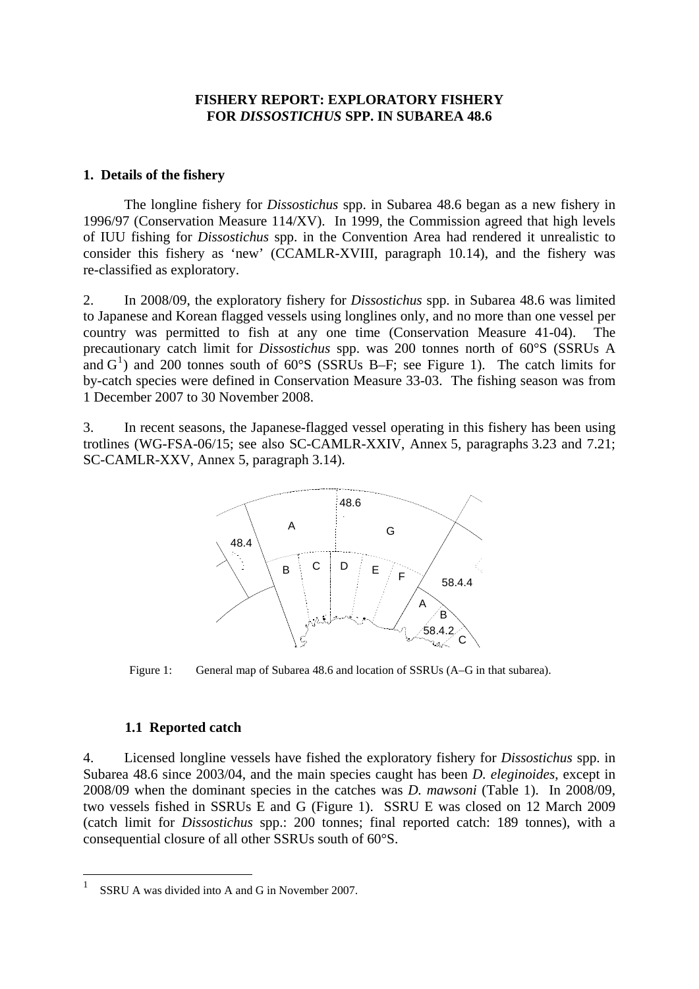# **FISHERY REPORT: EXPLORATORY FISHERY FOR** *DISSOSTICHUS* **SPP. IN SUBAREA 48.6**

### <span id="page-2-0"></span>**1. Details of the fishery**

The longline fishery for *Dissostichus* spp. in Subarea 48.6 began as a new fishery in 1996/97 (Conservation Measure 114/XV). In 1999, the Commission agreed that high levels of IUU fishing for *Dissostichus* spp. in the Convention Area had rendered it unrealistic to consider this fishery as 'new' (CCAMLR-XVIII, paragraph 10.14), and the fishery was re-classified as exploratory.

2. In 2008/09, the exploratory fishery for *Dissostichus* spp. in Subarea 48.6 was limited to Japanese and Korean flagged vessels using longlines only, and no more than one vessel per country was permitted to fish at any one time (Conservation Measure 41-04). The precautionary catch limit for *Dissostichus* spp. was 200 tonnes north of 60°S (SSRUs A and  $G<sup>1</sup>$  $G<sup>1</sup>$  $G<sup>1</sup>$ ) and 200 tonnes south of 60°S (SSRUs B–F; see Figure 1). The catch limits for by-catch species were defined in Conservation Measure 33-03. The fishing season was from 1 December 2007 to 30 November 2008.

3. In recent seasons, the Japanese-flagged vessel operating in this fishery has been using trotlines (WG-FSA-06/15; see also SC-CAMLR-XXIV, Annex 5, paragraphs 3.23 and 7.21; SC-CAMLR-XXV, Annex 5, paragraph 3.14).



Figure 1: General map of Subarea 48.6 and location of SSRUs (A–G in that subarea).

#### **1.1 Reported catch**

<u>.</u>

4. Licensed longline vessels have fished the exploratory fishery for *Dissostichus* spp. in Subarea 48.6 since 2003/04, and the main species caught has been *D. eleginoides*, except in 2008/09 when the dominant species in the catches was *D. mawsoni* (Table 1). In 2008/09, two vessels fished in SSRUs E and G (Figure 1). SSRU E was closed on 12 March 2009 (catch limit for *Dissostichus* spp.: 200 tonnes; final reported catch: 189 tonnes), with a consequential closure of all other SSRUs south of 60°S.

<span id="page-2-1"></span><sup>1</sup> SSRU A was divided into A and G in November 2007.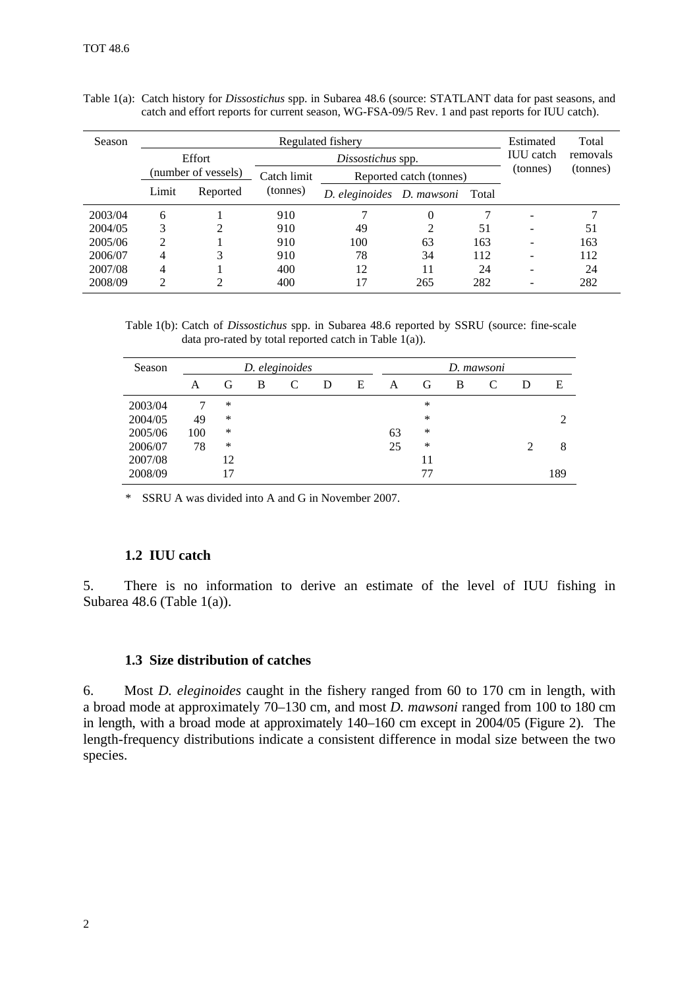| Season  | Regulated fishery   |          |          |                                 |                  |                         |  | Total |          |          |
|---------|---------------------|----------|----------|---------------------------------|------------------|-------------------------|--|-------|----------|----------|
|         | <b>Effort</b>       |          |          | Dissostichus spp.               | <b>IUU</b> catch | removals                |  |       |          |          |
|         | (number of vessels) |          |          |                                 | Catch limit      | Reported catch (tonnes) |  |       | (tonnes) | (tonnes) |
|         | Limit               | Reported | (tonnes) | D. eleginoides D. mawsoni Total |                  |                         |  |       |          |          |
| 2003/04 | 6                   |          | 910      |                                 | $\theta$         |                         |  |       |          |          |
| 2004/05 | 3                   | ∍        | 910      | 49                              | 2                | 51                      |  | 51    |          |          |
| 2005/06 | ∍                   |          | 910      | 100                             | 63               | 163                     |  | 163   |          |          |
| 2006/07 | 4                   | 3        | 910      | 78                              | 34               | 112                     |  | 112   |          |          |
| 2007/08 | 4                   |          | 400      | 12                              | 11               | 24                      |  | 24    |          |          |
| 2008/09 |                     |          | 400      | 17                              | 265              | 282                     |  | 282   |          |          |

<span id="page-3-0"></span>

| Table 1(a): Catch history for <i>Dissostichus</i> spp. in Subarea 48.6 (source: STATLANT data for past seasons, and |  |  |  |  |
|---------------------------------------------------------------------------------------------------------------------|--|--|--|--|
| catch and effort reports for current season, WG-FSA-09/5 Rev. 1 and past reports for IUU catch).                    |  |  |  |  |

Table 1(b): Catch of *Dissostichus* spp. in Subarea 48.6 reported by SSRU (source: fine-scale data pro-rated by total reported catch in Table  $1(a)$ ).

| Season  |     | D. eleginoides |   |   |   |   |    | D. mawsoni |   |  |   |     |
|---------|-----|----------------|---|---|---|---|----|------------|---|--|---|-----|
|         | А   | G              | B | C | D | E | A  | G          | B |  | D | Ε   |
| 2003/04 |     | *              |   |   |   |   |    | ∗          |   |  |   |     |
| 2004/05 | 49  | *              |   |   |   |   |    | ∗          |   |  |   |     |
| 2005/06 | 100 | ∗              |   |   |   |   | 63 | ∗          |   |  |   |     |
| 2006/07 | 78  | *              |   |   |   |   | 25 | ∗          |   |  |   | 8   |
| 2007/08 |     | 12             |   |   |   |   |    | 11         |   |  |   |     |
| 2008/09 |     |                |   |   |   |   |    | 77         |   |  |   | 189 |

\* SSRU A was divided into A and G in November 2007.

# **1.2 IUU catch**

5. There is no information to derive an estimate of the level of IUU fishing in Subarea 48.6 (Table 1(a)).

#### **1.3 Size distribution of catches**

6. Most *D. eleginoides* caught in the fishery ranged from 60 to 170 cm in length, with a broad mode at approximately 70–130 cm, and most *D. mawsoni* ranged from 100 to 180 cm in length, with a broad mode at approximately 140–160 cm except in 2004/05 (Figure 2). The length-frequency distributions indicate a consistent difference in modal size between the two species.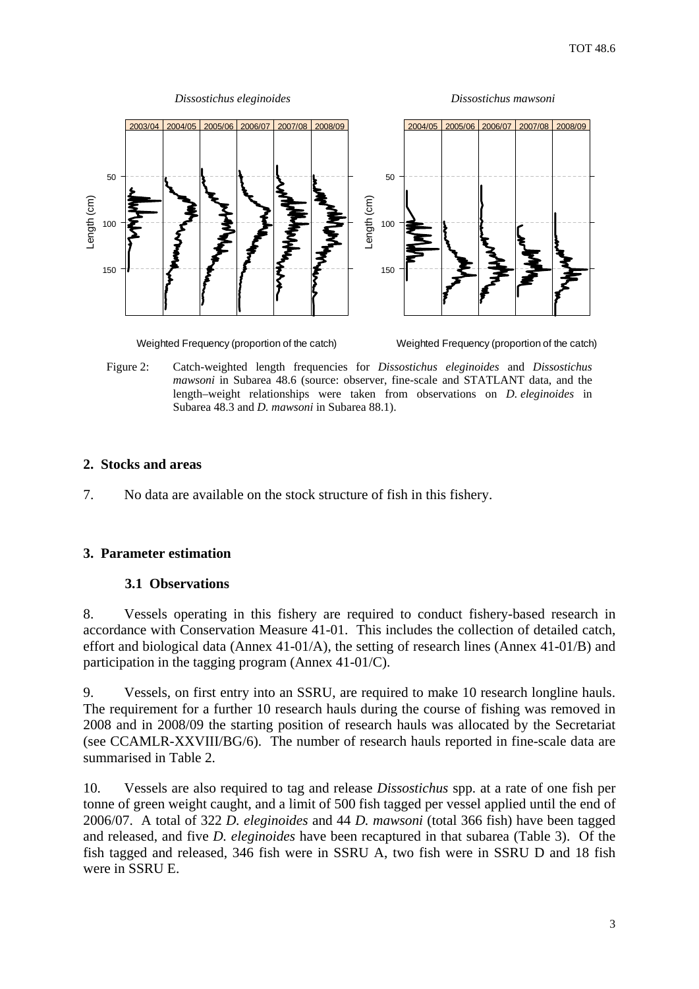<span id="page-4-0"></span>

Weighted Frequency (proportion of the catch)

Weighted Frequency (proportion of the catch)

Figure 2: Catch-weighted length frequencies for *Dissostichus eleginoides* and *Dissostichus mawsoni* in Subarea 48.6 (source: observer, fine-scale and STATLANT data, and the length–weight relationships were taken from observations on *D. eleginoides* in Subarea 48.3 and *D. mawsoni* in Subarea 88.1).

# **2. Stocks and areas**

7. No data are available on the stock structure of fish in this fishery.

# **3. Parameter estimation**

# **3.1 Observations**

8. Vessels operating in this fishery are required to conduct fishery-based research in accordance with Conservation Measure 41-01. This includes the collection of detailed catch, effort and biological data (Annex 41-01/A), the setting of research lines (Annex 41-01/B) and participation in the tagging program (Annex 41-01/C).

9. Vessels, on first entry into an SSRU, are required to make 10 research longline hauls. The requirement for a further 10 research hauls during the course of fishing was removed in 2008 and in 2008/09 the starting position of research hauls was allocated by the Secretariat (see CCAMLR-XXVIII/BG/6). The number of research hauls reported in fine-scale data are summarised in Table 2.

10. Vessels are also required to tag and release *Dissostichus* spp. at a rate of one fish per tonne of green weight caught, and a limit of 500 fish tagged per vessel applied until the end of 2006/07. A total of 322 *D. eleginoides* and 44 *D. mawsoni* (total 366 fish) have been tagged and released, and five *D. eleginoides* have been recaptured in that subarea (Table 3). Of the fish tagged and released, 346 fish were in SSRU A, two fish were in SSRU D and 18 fish were in SSRU E.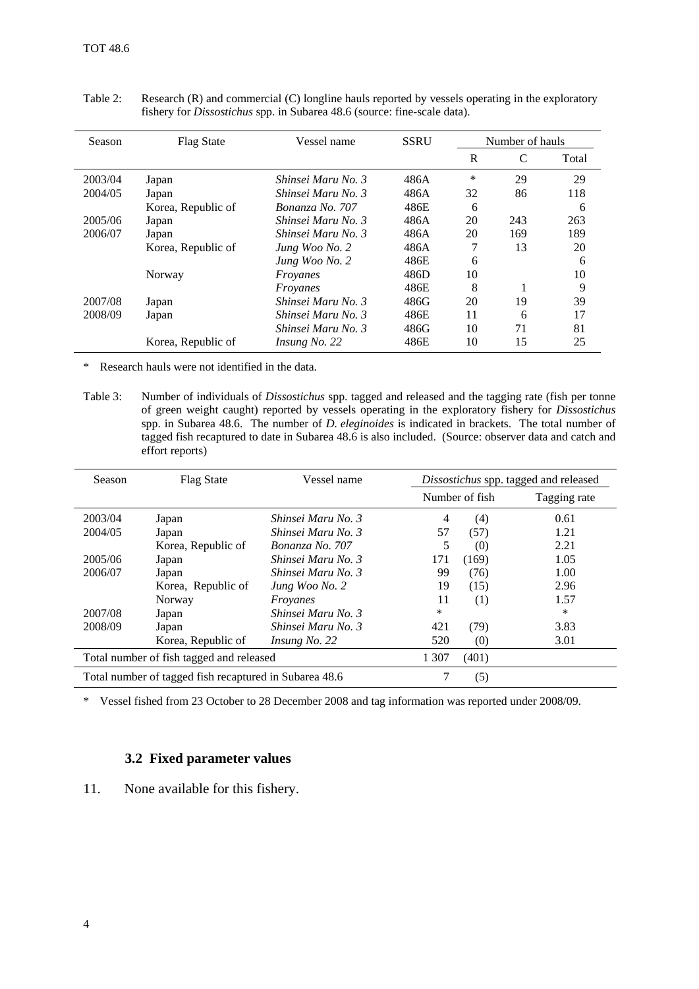| <b>Season</b> | <b>Flag State</b>  | Vessel name        | <b>SSRU</b> |    | Number of hauls |       |
|---------------|--------------------|--------------------|-------------|----|-----------------|-------|
|               |                    |                    |             | R  | C               | Total |
| 2003/04       | Japan              | Shinsei Maru No. 3 | 486A        | *  | 29              | 29    |
| 2004/05       | Japan              | Shinsei Maru No. 3 | 486A        | 32 | 86              | 118   |
|               | Korea, Republic of | Bonanza No. 707    | 486E        | 6  |                 | 6     |
| 2005/06       | Japan              | Shinsei Maru No. 3 | 486A        | 20 | 243             | 263   |
| 2006/07       | Japan              | Shinsei Maru No. 3 | 486A        | 20 | 169             | 189   |
|               | Korea, Republic of | Jung Woo No. 2     | 486A        |    | 13              | 20    |
|               |                    | Jung Woo No. 2     | 486E        | 6  |                 | 6     |
|               | Norway             | Froyanes           | 486D        | 10 |                 | 10    |
|               |                    | Froyanes           | 486E        | 8  |                 | 9     |
| 2007/08       | Japan              | Shinsei Maru No. 3 | 486G        | 20 | 19              | 39    |
| 2008/09       | Japan              | Shinsei Maru No. 3 | 486E        | 11 | 6               | 17    |
|               |                    | Shinsei Maru No. 3 | 486G        | 10 | 71              | 81    |
|               | Korea, Republic of | Insung No. 22      | 486E        | 10 | 15              | 25    |

<span id="page-5-0"></span>Table 2: Research (R) and commercial (C) longline hauls reported by vessels operating in the exploratory fishery for *Dissostichus* spp. in Subarea 48.6 (source: fine-scale data).

\* Research hauls were not identified in the data.

Table 3: Number of individuals of *Dissostichus* spp. tagged and released and the tagging rate (fish per tonne of green weight caught) reported by vessels operating in the exploratory fishery for *Dissostichus* spp. in Subarea 48.6. The number of *D. eleginoides* is indicated in brackets. The total number of tagged fish recaptured to date in Subarea 48.6 is also included. (Source: observer data and catch and effort reports)

| <b>Season</b> | <b>Flag State</b>                                      | Vessel name        |       |                | Dissostichus spp. tagged and released |  |
|---------------|--------------------------------------------------------|--------------------|-------|----------------|---------------------------------------|--|
|               |                                                        |                    |       | Number of fish | Tagging rate                          |  |
| 2003/04       | Japan                                                  | Shinsei Maru No. 3 | 4     | (4)            | 0.61                                  |  |
| 2004/05       | Japan                                                  | Shinsei Maru No. 3 | 57    | (57)           | 1.21                                  |  |
|               | Korea, Republic of                                     | Bonanza No. 707    | 5     | (0)            | 2.21                                  |  |
| 2005/06       | Japan                                                  | Shinsei Maru No. 3 | 171   | (169)          | 1.05                                  |  |
| 2006/07       | Japan                                                  | Shinsei Maru No. 3 | 99    | (76)           | 1.00                                  |  |
|               | Korea, Republic of                                     | Jung Woo No. 2     | 19    | (15)           | 2.96                                  |  |
|               | Norway                                                 | Froyanes           | 11    | (1)            | 1.57                                  |  |
| 2007/08       | Japan                                                  | Shinsei Maru No. 3 | *     |                | $\ast$                                |  |
| 2008/09       | Japan                                                  | Shinsei Maru No. 3 | 421   | (79)           | 3.83                                  |  |
|               | Korea, Republic of                                     | Insung No. 22      | 520   | (0)            | 3.01                                  |  |
|               | Total number of fish tagged and released               | 1 307              | (401) |                |                                       |  |
|               | Total number of tagged fish recaptured in Subarea 48.6 |                    | (5)   |                |                                       |  |

\* Vessel fished from 23 October to 28 December 2008 and tag information was reported under 2008/09.

### **3.2 Fixed parameter values**

11. None available for this fishery.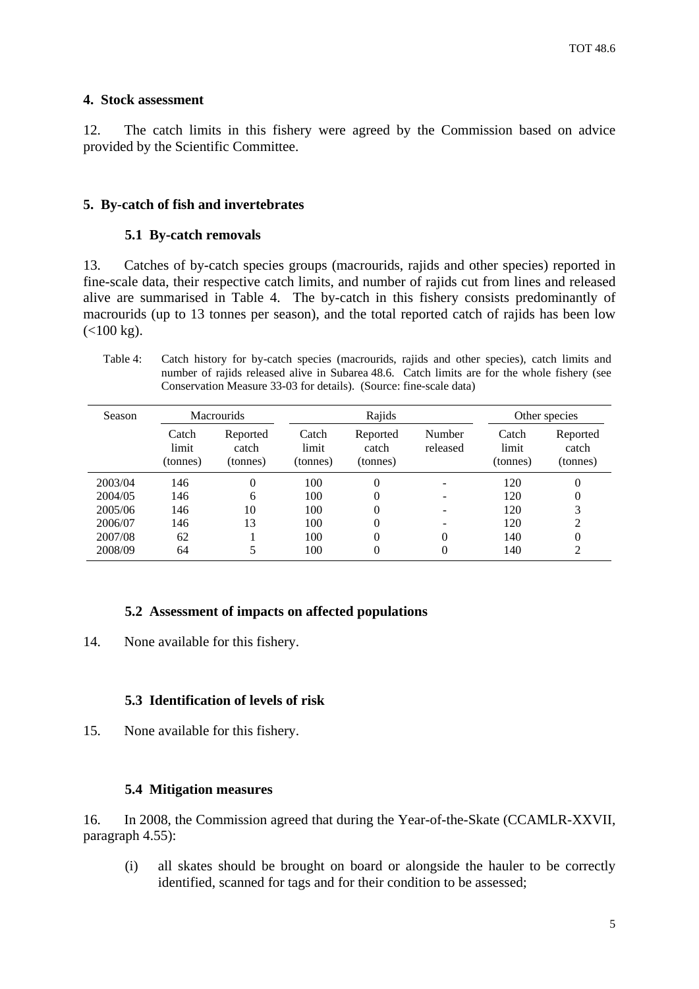### <span id="page-6-0"></span>**4. Stock assessment**

12. The catch limits in this fishery were agreed by the Commission based on advice provided by the Scientific Committee.

#### **5. By-catch of fish and invertebrates**

#### **5.1 By-catch removals**

13. Catches of by-catch species groups (macrourids, rajids and other species) reported in fine-scale data, their respective catch limits, and number of rajids cut from lines and released alive are summarised in Table 4. The by-catch in this fishery consists predominantly of macrourids (up to 13 tonnes per season), and the total reported catch of rajids has been low  $(<100 \text{ kg})$ .

Table 4: Catch history for by-catch species (macrourids, rajids and other species), catch limits and number of rajids released alive in Subarea 48.6. Catch limits are for the whole fishery (see Conservation Measure 33-03 for details). (Source: fine-scale data)

| Season  | <b>Macrourids</b>          |                               | Rajids                     |                               |                    |                            | Other species                 |
|---------|----------------------------|-------------------------------|----------------------------|-------------------------------|--------------------|----------------------------|-------------------------------|
|         | Catch<br>limit<br>(tonnes) | Reported<br>catch<br>(tonnes) | Catch<br>limit<br>(tonnes) | Reported<br>catch<br>(tonnes) | Number<br>released | Catch<br>limit<br>(tonnes) | Reported<br>catch<br>(tonnes) |
| 2003/04 | 146                        | $\Omega$                      | 100                        | $\theta$                      |                    | 120                        | 0                             |
| 2004/05 | 146                        | 6                             | 100                        | 0                             |                    | 120                        | 0                             |
| 2005/06 | 146                        | 10                            | 100                        | 0                             |                    | 120                        | 3                             |
| 2006/07 | 146                        | 13                            | 100                        | 0                             |                    | 120                        | 2                             |
| 2007/08 | 62                         |                               | 100                        | 0                             | 0                  | 140                        | 0                             |
| 2008/09 | 64                         |                               | 100                        | 0                             | 0                  | 140                        | 2                             |

# **5.2 Assessment of impacts on affected populations**

14. None available for this fishery.

### **5.3 Identification of levels of risk**

15. None available for this fishery.

#### **5.4 Mitigation measures**

16. In 2008, the Commission agreed that during the Year-of-the-Skate (CCAMLR-XXVII, paragraph 4.55):

(i) all skates should be brought on board or alongside the hauler to be correctly identified, scanned for tags and for their condition to be assessed;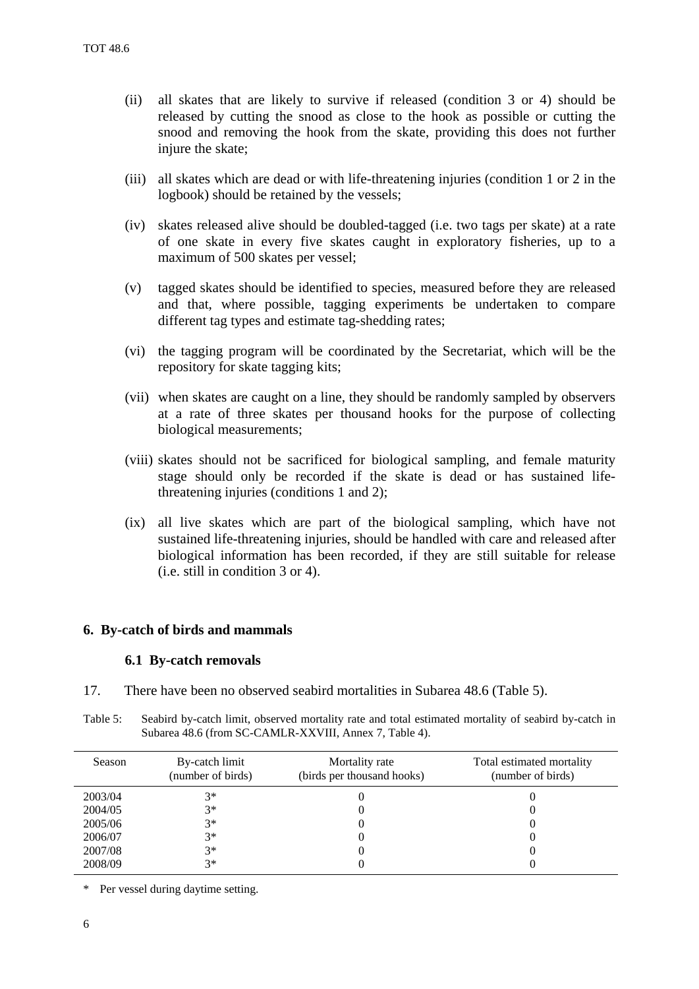- <span id="page-7-0"></span>(ii) all skates that are likely to survive if released (condition 3 or 4) should be released by cutting the snood as close to the hook as possible or cutting the snood and removing the hook from the skate, providing this does not further injure the skate;
- (iii) all skates which are dead or with life-threatening injuries (condition 1 or 2 in the logbook) should be retained by the vessels;
- (iv) skates released alive should be doubled-tagged (i.e. two tags per skate) at a rate of one skate in every five skates caught in exploratory fisheries, up to a maximum of 500 skates per vessel;
- (v) tagged skates should be identified to species, measured before they are released and that, where possible, tagging experiments be undertaken to compare different tag types and estimate tag-shedding rates;
- (vi) the tagging program will be coordinated by the Secretariat, which will be the repository for skate tagging kits;
- (vii) when skates are caught on a line, they should be randomly sampled by observers at a rate of three skates per thousand hooks for the purpose of collecting biological measurements;
- (viii) skates should not be sacrificed for biological sampling, and female maturity stage should only be recorded if the skate is dead or has sustained lifethreatening injuries (conditions 1 and 2);
- (ix) all live skates which are part of the biological sampling, which have not sustained life-threatening injuries, should be handled with care and released after biological information has been recorded, if they are still suitable for release (i.e. still in condition 3 or 4).

#### **6. By-catch of birds and mammals**

#### **6.1 By-catch removals**

17. There have been no observed seabird mortalities in Subarea 48.6 (Table 5).

| Table 5: | Seabird by-catch limit, observed mortality rate and total estimated mortality of seabird by-catch in |
|----------|------------------------------------------------------------------------------------------------------|
|          | Subarea 48.6 (from SC-CAMLR-XXVIII, Annex 7, Table 4).                                               |

| Season  | By-catch limit<br>(number of birds) | Mortality rate<br>(birds per thousand hooks) | Total estimated mortality<br>(number of birds) |
|---------|-------------------------------------|----------------------------------------------|------------------------------------------------|
| 2003/04 | $3*$                                |                                              |                                                |
| 2004/05 | $3*$                                |                                              |                                                |
| 2005/06 | $3*$                                |                                              |                                                |
| 2006/07 | $3*$                                |                                              |                                                |
| 2007/08 | $3*$                                |                                              |                                                |
| 2008/09 | $3*$                                |                                              |                                                |

\* Per vessel during daytime setting.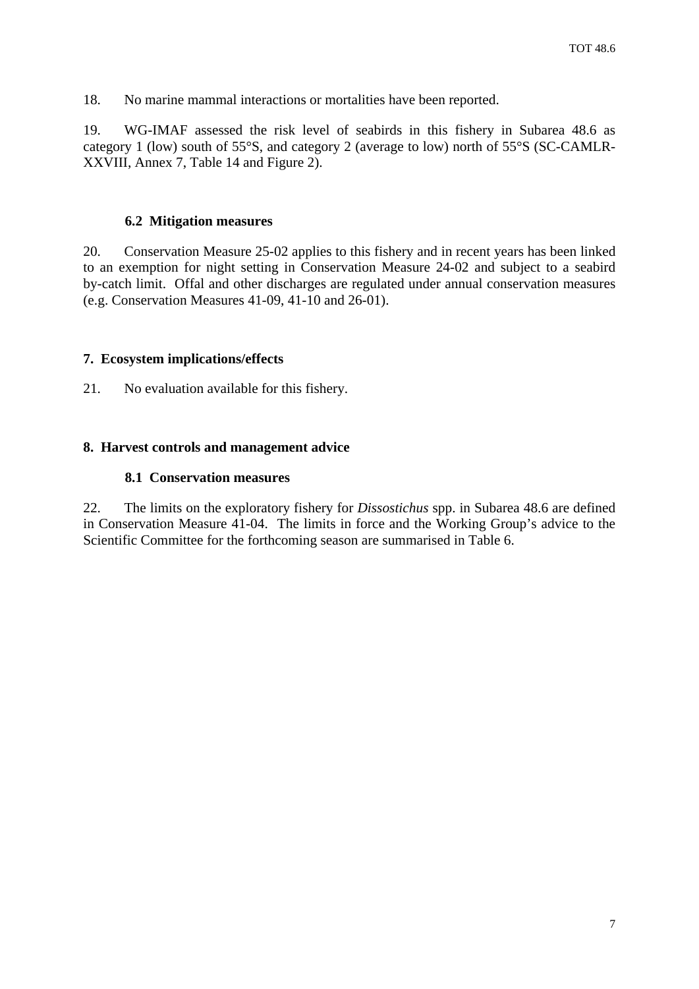<span id="page-8-0"></span>18. No marine mammal interactions or mortalities have been reported.

19. WG-IMAF assessed the risk level of seabirds in this fishery in Subarea 48.6 as category 1 (low) south of 55°S, and category 2 (average to low) north of 55°S (SC-CAMLR-XXVIII, Annex 7, Table 14 and Figure 2).

### **6.2 Mitigation measures**

20. Conservation Measure 25-02 applies to this fishery and in recent years has been linked to an exemption for night setting in Conservation Measure 24-02 and subject to a seabird by-catch limit. Offal and other discharges are regulated under annual conservation measures (e.g. Conservation Measures 41-09, 41-10 and 26-01).

# **7. Ecosystem implications/effects**

21. No evaluation available for this fishery.

### **8. Harvest controls and management advice**

#### **8.1 Conservation measures**

22. The limits on the exploratory fishery for *Dissostichus* spp. in Subarea 48.6 are defined in Conservation Measure 41-04. The limits in force and the Working Group's advice to the Scientific Committee for the forthcoming season are summarised in Table 6.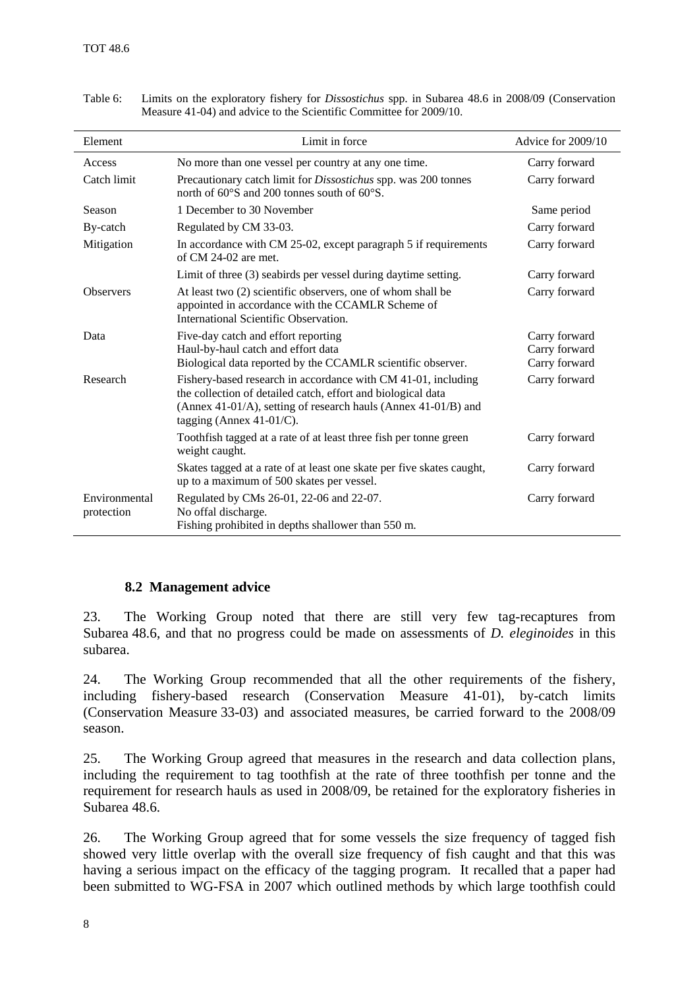| Element                     | Limit in force                                                                                                                                                                                                                 | Advice for 2009/10 |
|-----------------------------|--------------------------------------------------------------------------------------------------------------------------------------------------------------------------------------------------------------------------------|--------------------|
| Access                      | No more than one vessel per country at any one time.                                                                                                                                                                           | Carry forward      |
| Catch limit                 | Precautionary catch limit for <i>Dissostichus</i> spp. was 200 tonnes<br>north of $60^{\circ}$ S and 200 tonnes south of $60^{\circ}$ S.                                                                                       | Carry forward      |
| Season                      | 1 December to 30 November                                                                                                                                                                                                      | Same period        |
| By-catch                    | Regulated by CM 33-03.                                                                                                                                                                                                         | Carry forward      |
| Mitigation                  | In accordance with CM 25-02, except paragraph 5 if requirements<br>of CM 24-02 are met.                                                                                                                                        | Carry forward      |
|                             | Limit of three (3) seabirds per vessel during daytime setting.                                                                                                                                                                 | Carry forward      |
| <b>Observers</b>            | At least two (2) scientific observers, one of whom shall be<br>appointed in accordance with the CCAMLR Scheme of<br>International Scientific Observation.                                                                      | Carry forward      |
| Data                        | Five-day catch and effort reporting                                                                                                                                                                                            | Carry forward      |
|                             | Haul-by-haul catch and effort data                                                                                                                                                                                             | Carry forward      |
|                             | Biological data reported by the CCAMLR scientific observer.                                                                                                                                                                    | Carry forward      |
| Research                    | Fishery-based research in accordance with CM 41-01, including<br>the collection of detailed catch, effort and biological data<br>(Annex 41-01/A), setting of research hauls (Annex 41-01/B) and<br>tagging (Annex $41-01/C$ ). | Carry forward      |
|                             | Toothfish tagged at a rate of at least three fish per tonne green<br>weight caught.                                                                                                                                            | Carry forward      |
|                             | Skates tagged at a rate of at least one skate per five skates caught,<br>up to a maximum of 500 skates per vessel.                                                                                                             | Carry forward      |
| Environmental<br>protection | Regulated by CMs 26-01, 22-06 and 22-07.<br>No offal discharge.<br>Fishing prohibited in depths shallower than 550 m.                                                                                                          | Carry forward      |

<span id="page-9-0"></span>Table 6: Limits on the exploratory fishery for *Dissostichus* spp. in Subarea 48.6 in 2008/09 (Conservation Measure 41-04) and advice to the Scientific Committee for 2009/10.

# **8.2 Management advice**

23. The Working Group noted that there are still very few tag-recaptures from Subarea 48.6, and that no progress could be made on assessments of *D. eleginoides* in this subarea.

24. The Working Group recommended that all the other requirements of the fishery, including fishery-based research (Conservation Measure 41-01), by-catch limits (Conservation Measure 33-03) and associated measures, be carried forward to the 2008/09 season.

25. The Working Group agreed that measures in the research and data collection plans, including the requirement to tag toothfish at the rate of three toothfish per tonne and the requirement for research hauls as used in 2008/09, be retained for the exploratory fisheries in Subarea 48.6.

26. The Working Group agreed that for some vessels the size frequency of tagged fish showed very little overlap with the overall size frequency of fish caught and that this was having a serious impact on the efficacy of the tagging program. It recalled that a paper had been submitted to WG-FSA in 2007 which outlined methods by which large toothfish could